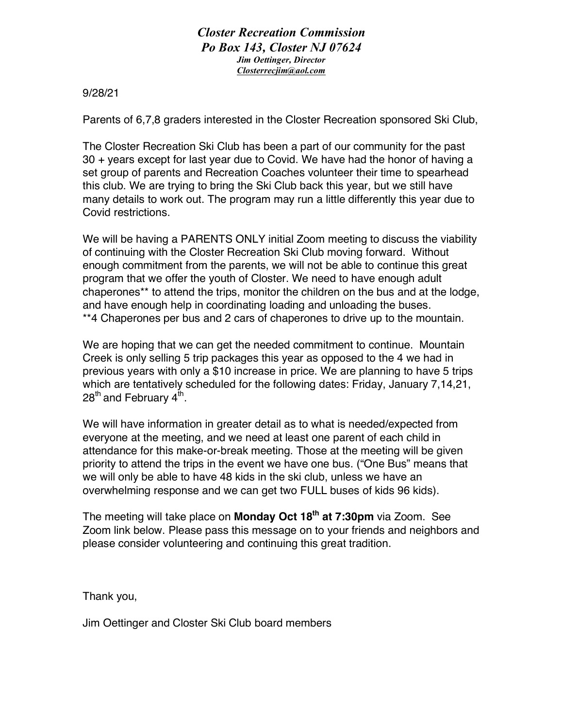*Closter Recreation Commission Po Box 143, Closter NJ 07624 Jim Oettinger, Director Closterrecjim@aol.com*

9/28/21

Parents of 6,7,8 graders interested in the Closter Recreation sponsored Ski Club,

The Closter Recreation Ski Club has been a part of our community for the past 30 + years except for last year due to Covid. We have had the honor of having a set group of parents and Recreation Coaches volunteer their time to spearhead this club. We are trying to bring the Ski Club back this year, but we still have many details to work out. The program may run a little differently this year due to Covid restrictions.

We will be having a PARENTS ONLY initial Zoom meeting to discuss the viability of continuing with the Closter Recreation Ski Club moving forward. Without enough commitment from the parents, we will not be able to continue this great program that we offer the youth of Closter. We need to have enough adult chaperones\*\* to attend the trips, monitor the children on the bus and at the lodge, and have enough help in coordinating loading and unloading the buses. \*\*4 Chaperones per bus and 2 cars of chaperones to drive up to the mountain.

We are hoping that we can get the needed commitment to continue. Mountain Creek is only selling 5 trip packages this year as opposed to the 4 we had in previous years with only a \$10 increase in price. We are planning to have 5 trips which are tentatively scheduled for the following dates: Friday, January 7,14,21,  $28^{\text{th}}$  and February 4<sup>th</sup>.

We will have information in greater detail as to what is needed/expected from everyone at the meeting, and we need at least one parent of each child in attendance for this make-or-break meeting. Those at the meeting will be given priority to attend the trips in the event we have one bus. ("One Bus" means that we will only be able to have 48 kids in the ski club, unless we have an overwhelming response and we can get two FULL buses of kids 96 kids).

The meeting will take place on **Monday Oct 18th at 7:30pm** via Zoom. See Zoom link below. Please pass this message on to your friends and neighbors and please consider volunteering and continuing this great tradition.

Thank you,

Jim Oettinger and Closter Ski Club board members